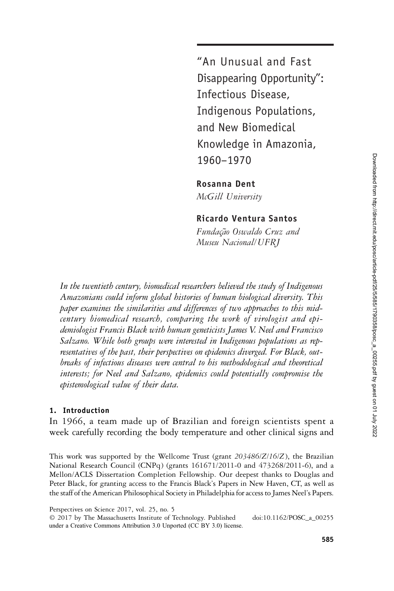"An Unusual and Fast Disappearing Opportunity": Infectious Disease, Indigenous Populations, and New Biomedical Knowledge in Amazonia, 1960–1970

Rosanna Dent McGill University

# Ricardo Ventura Santos

Fundação Oswaldo Cruz and Museu Nacional/UFRJ

In the twentieth century, biomedical researchers believed the study of Indigenous Amazonians could inform global histories of human biological diversity. This paper examines the similarities and differences of two approaches to this midcentury biomedical research, comparing the work of virologist and epidemiologist Francis Black with human geneticists James V. Neel and Francisco Salzano. While both groups were interested in Indigenous populations as representatives of the past, their perspectives on epidemics diverged. For Black, outbreaks of infectious diseases were central to his methodological and theoretical interests; for Neel and Salzano, epidemics could potentially compromise the epistemological value of their data.

# 1. Introduction

In 1966, a team made up of Brazilian and foreign scientists spent a week carefully recording the body temperature and other clinical signs and

This work was supported by the Wellcome Trust (grant  $203486/Z/16/Z$ ), the Brazilian National Research Council (CNPq) (grants 161671/2011-0 and 473268/2011-6), and a Mellon/ACLS Dissertation Completion Fellowship. Our deepest thanks to Douglas and Peter Black, for granting access to the Francis Black's Papers in New Haven, CT, as well as the staff of the American Philosophical Society in Philadelphia for access to James Neel's Papers.

Perspectives on Science 2017, vol. 25, no. 5

© 2017 by The Massachusetts Institute of Technology. Published doi:10.1162/POSC\_a\_00255 under a Creative Commons Attribution 3.0 Unported (CC BY 3.0) license.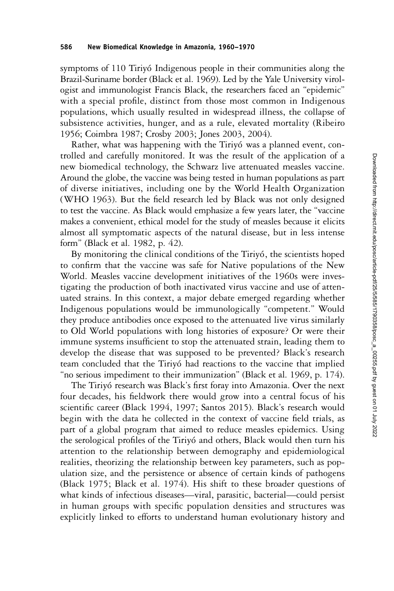symptoms of 110 Tiriyó Indigenous people in their communities along the Brazil-Suriname border (Black et al. 1969). Led by the Yale University virologist and immunologist Francis Black, the researchers faced an "epidemic" with a special profile, distinct from those most common in Indigenous populations, which usually resulted in widespread illness, the collapse of subsistence activities, hunger, and as a rule, elevated mortality (Ribeiro 1956; Coimbra 1987; Crosby 2003; Jones 2003, 2004).

Rather, what was happening with the Tiriyó was a planned event, controlled and carefully monitored. It was the result of the application of a new biomedical technology, the Schwarz live attenuated measles vaccine. Around the globe, the vaccine was being tested in human populations as part of diverse initiatives, including one by the World Health Organization (WHO 1963). But the field research led by Black was not only designed to test the vaccine. As Black would emphasize a few years later, the "vaccine makes a convenient, ethical model for the study of measles because it elicits almost all symptomatic aspects of the natural disease, but in less intense form" (Black et al. 1982, p. 42).

By monitoring the clinical conditions of the Tiriyó, the scientists hoped to confirm that the vaccine was safe for Native populations of the New World. Measles vaccine development initiatives of the 1960s were investigating the production of both inactivated virus vaccine and use of attenuated strains. In this context, a major debate emerged regarding whether Indigenous populations would be immunologically "competent." Would they produce antibodies once exposed to the attenuated live virus similarly to Old World populations with long histories of exposure? Or were their immune systems insufficient to stop the attenuated strain, leading them to develop the disease that was supposed to be prevented? Black's research team concluded that the Tiriyó had reactions to the vaccine that implied "no serious impediment to their immunization" (Black et al. 1969, p. 174).

The Tiriyó research was Black's first foray into Amazonia. Over the next four decades, his fieldwork there would grow into a central focus of his scientific career (Black 1994, 1997; Santos 2015). Black's research would begin with the data he collected in the context of vaccine field trials, as part of a global program that aimed to reduce measles epidemics. Using the serological profiles of the Tiriyó and others, Black would then turn his attention to the relationship between demography and epidemiological realities, theorizing the relationship between key parameters, such as population size, and the persistence or absence of certain kinds of pathogens (Black 1975; Black et al. 1974). His shift to these broader questions of what kinds of infectious diseases—viral, parasitic, bacterial—could persist in human groups with specific population densities and structures was explicitly linked to efforts to understand human evolutionary history and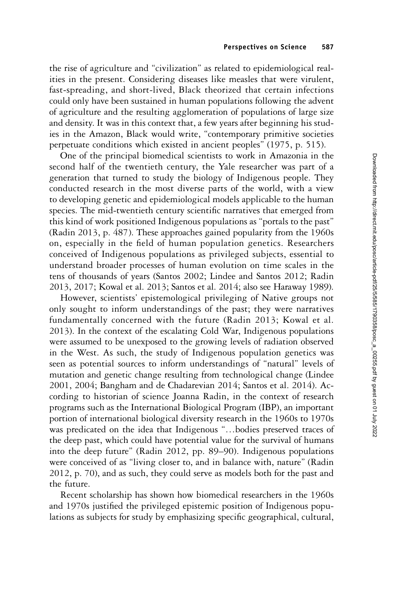the rise of agriculture and "civilization" as related to epidemiological realities in the present. Considering diseases like measles that were virulent, fast-spreading, and short-lived, Black theorized that certain infections could only have been sustained in human populations following the advent of agriculture and the resulting agglomeration of populations of large size and density. It was in this context that, a few years after beginning his studies in the Amazon, Black would write, "contemporary primitive societies perpetuate conditions which existed in ancient peoples" (1975, p. 515).

One of the principal biomedical scientists to work in Amazonia in the second half of the twentieth century, the Yale researcher was part of a generation that turned to study the biology of Indigenous people. They conducted research in the most diverse parts of the world, with a view to developing genetic and epidemiological models applicable to the human species. The mid-twentieth century scientific narratives that emerged from this kind of work positioned Indigenous populations as "portals to the past" (Radin 2013, p. 487). These approaches gained popularity from the 1960s on, especially in the field of human population genetics. Researchers conceived of Indigenous populations as privileged subjects, essential to understand broader processes of human evolution on time scales in the tens of thousands of years (Santos 2002; Lindee and Santos 2012; Radin 2013, 2017; Kowal et al. 2013; Santos et al. 2014; also see Haraway 1989).

However, scientists' epistemological privileging of Native groups not only sought to inform understandings of the past; they were narratives fundamentally concerned with the future (Radin 2013; Kowal et al. 2013). In the context of the escalating Cold War, Indigenous populations were assumed to be unexposed to the growing levels of radiation observed in the West. As such, the study of Indigenous population genetics was seen as potential sources to inform understandings of "natural" levels of mutation and genetic change resulting from technological change (Lindee 2001, 2004; Bangham and de Chadarevian 2014; Santos et al. 2014). According to historian of science Joanna Radin, in the context of research programs such as the International Biological Program (IBP), an important portion of international biological diversity research in the 1960s to 1970s was predicated on the idea that Indigenous "…bodies preserved traces of the deep past, which could have potential value for the survival of humans into the deep future" (Radin 2012, pp. 89–90). Indigenous populations were conceived of as "living closer to, and in balance with, nature" (Radin 2012, p. 70), and as such, they could serve as models both for the past and the future.

Recent scholarship has shown how biomedical researchers in the 1960s and 1970s justified the privileged epistemic position of Indigenous populations as subjects for study by emphasizing specific geographical, cultural,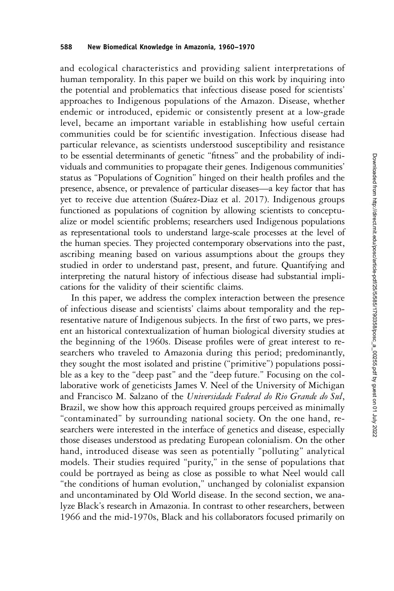and ecological characteristics and providing salient interpretations of human temporality. In this paper we build on this work by inquiring into the potential and problematics that infectious disease posed for scientists' approaches to Indigenous populations of the Amazon. Disease, whether endemic or introduced, epidemic or consistently present at a low-grade level, became an important variable in establishing how useful certain communities could be for scientific investigation. Infectious disease had particular relevance, as scientists understood susceptibility and resistance to be essential determinants of genetic "fitness" and the probability of individuals and communities to propagate their genes. Indigenous communities' status as "Populations of Cognition" hinged on their health profiles and the presence, absence, or prevalence of particular diseases—a key factor that has yet to receive due attention (Suárez-Diaz et al. 2017). Indigenous groups functioned as populations of cognition by allowing scientists to conceptualize or model scientific problems; researchers used Indigenous populations as representational tools to understand large-scale processes at the level of the human species. They projected contemporary observations into the past, ascribing meaning based on various assumptions about the groups they studied in order to understand past, present, and future. Quantifying and interpreting the natural history of infectious disease had substantial implications for the validity of their scientific claims.

In this paper, we address the complex interaction between the presence of infectious disease and scientists' claims about temporality and the representative nature of Indigenous subjects. In the first of two parts, we present an historical contextualization of human biological diversity studies at the beginning of the 1960s. Disease profiles were of great interest to researchers who traveled to Amazonia during this period; predominantly, they sought the most isolated and pristine ("primitive") populations possible as a key to the "deep past" and the "deep future." Focusing on the collaborative work of geneticists James V. Neel of the University of Michigan and Francisco M. Salzano of the Universidade Federal do Rio Grande do Sul, Brazil, we show how this approach required groups perceived as minimally "contaminated" by surrounding national society. On the one hand, researchers were interested in the interface of genetics and disease, especially those diseases understood as predating European colonialism. On the other hand, introduced disease was seen as potentially "polluting" analytical models. Their studies required "purity," in the sense of populations that could be portrayed as being as close as possible to what Neel would call "the conditions of human evolution," unchanged by colonialist expansion and uncontaminated by Old World disease. In the second section, we analyze Black's research in Amazonia. In contrast to other researchers, between 1966 and the mid-1970s, Black and his collaborators focused primarily on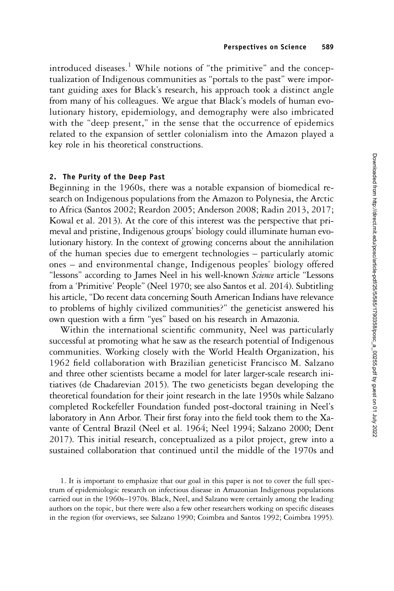introduced diseases.<sup>1</sup> While notions of "the primitive" and the conceptualization of Indigenous communities as "portals to the past" were important guiding axes for Black's research, his approach took a distinct angle from many of his colleagues. We argue that Black's models of human evolutionary history, epidemiology, and demography were also imbricated with the "deep present," in the sense that the occurrence of epidemics related to the expansion of settler colonialism into the Amazon played a key role in his theoretical constructions.

# 2. The Purity of the Deep Past

Beginning in the 1960s, there was a notable expansion of biomedical research on Indigenous populations from the Amazon to Polynesia, the Arctic to Africa (Santos 2002; Reardon 2005; Anderson 2008; Radin 2013, 2017; Kowal et al. 2013). At the core of this interest was the perspective that primeval and pristine, Indigenous groups' biology could illuminate human evolutionary history. In the context of growing concerns about the annihilation of the human species due to emergent technologies – particularly atomic ones – and environmental change, Indigenous peoples' biology offered "lessons" according to James Neel in his well-known Science article "Lessons" from a 'Primitive' People" (Neel 1970; see also Santos et al. 2014). Subtitling his article, "Do recent data concerning South American Indians have relevance to problems of highly civilized communities?" the geneticist answered his own question with a firm "yes" based on his research in Amazonia.

Within the international scientific community, Neel was particularly successful at promoting what he saw as the research potential of Indigenous communities. Working closely with the World Health Organization, his 1962 field collaboration with Brazilian geneticist Francisco M. Salzano and three other scientists became a model for later larger-scale research initiatives (de Chadarevian 2015). The two geneticists began developing the theoretical foundation for their joint research in the late 1950s while Salzano completed Rockefeller Foundation funded post-doctoral training in Neel's laboratory in Ann Arbor. Their first foray into the field took them to the Xavante of Central Brazil (Neel et al. 1964; Neel 1994; Salzano 2000; Dent 2017). This initial research, conceptualized as a pilot project, grew into a sustained collaboration that continued until the middle of the 1970s and

1. It is important to emphasize that our goal in this paper is not to cover the full spectrum of epidemiologic research on infectious disease in Amazonian Indigenous populations carried out in the 1960s–1970s. Black, Neel, and Salzano were certainly among the leading authors on the topic, but there were also a few other researchers working on specific diseases in the region (for overviews, see Salzano 1990; Coimbra and Santos 1992; Coimbra 1995).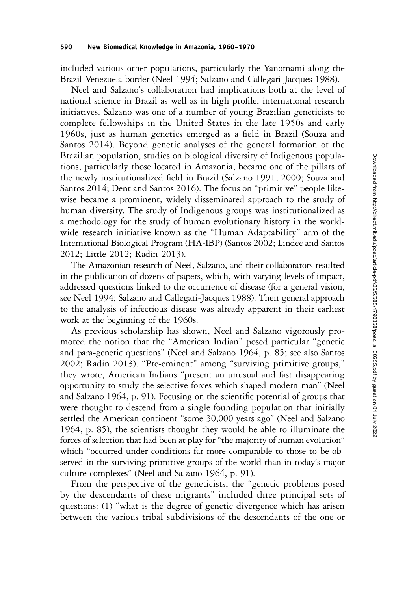included various other populations, particularly the Yanomami along the Brazil-Venezuela border (Neel 1994; Salzano and Callegari-Jacques 1988).

Neel and Salzano's collaboration had implications both at the level of national science in Brazil as well as in high profile, international research initiatives. Salzano was one of a number of young Brazilian geneticists to complete fellowships in the United States in the late 1950s and early 1960s, just as human genetics emerged as a field in Brazil (Souza and Santos 2014). Beyond genetic analyses of the general formation of the Brazilian population, studies on biological diversity of Indigenous populations, particularly those located in Amazonia, became one of the pillars of the newly institutionalized field in Brazil (Salzano 1991, 2000; Souza and Santos 2014; Dent and Santos 2016). The focus on "primitive" people likewise became a prominent, widely disseminated approach to the study of human diversity. The study of Indigenous groups was institutionalized as a methodology for the study of human evolutionary history in the worldwide research initiative known as the "Human Adaptability" arm of the International Biological Program (HA-IBP) (Santos 2002; Lindee and Santos 2012; Little 2012; Radin 2013).

The Amazonian research of Neel, Salzano, and their collaborators resulted in the publication of dozens of papers, which, with varying levels of impact, addressed questions linked to the occurrence of disease (for a general vision, see Neel 1994; Salzano and Callegari-Jacques 1988). Their general approach to the analysis of infectious disease was already apparent in their earliest work at the beginning of the 1960s.

As previous scholarship has shown, Neel and Salzano vigorously promoted the notion that the "American Indian" posed particular "genetic and para-genetic questions" (Neel and Salzano 1964, p. 85; see also Santos 2002; Radin 2013). "Pre-eminent" among "surviving primitive groups," they wrote, American Indians "present an unusual and fast disappearing opportunity to study the selective forces which shaped modern man" (Neel and Salzano 1964, p. 91). Focusing on the scientific potential of groups that were thought to descend from a single founding population that initially settled the American continent "some 30,000 years ago" (Neel and Salzano 1964, p. 85), the scientists thought they would be able to illuminate the forces of selection that had been at play for "the majority of human evolution" which "occurred under conditions far more comparable to those to be observed in the surviving primitive groups of the world than in today's major culture-complexes" (Neel and Salzano 1964, p. 91).

From the perspective of the geneticists, the "genetic problems posed by the descendants of these migrants" included three principal sets of questions: (1) "what is the degree of genetic divergence which has arisen between the various tribal subdivisions of the descendants of the one or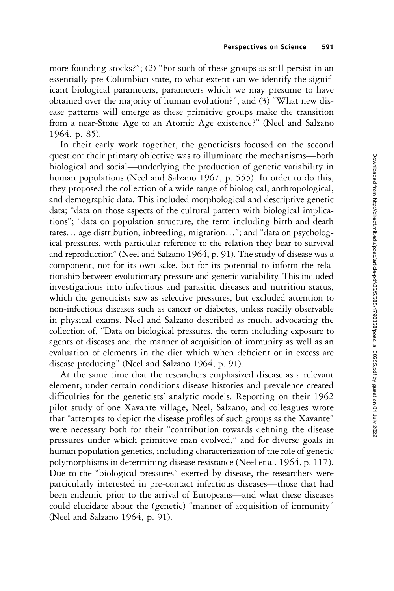more founding stocks?"; (2) "For such of these groups as still persist in an essentially pre-Columbian state, to what extent can we identify the significant biological parameters, parameters which we may presume to have obtained over the majority of human evolution?"; and (3) "What new disease patterns will emerge as these primitive groups make the transition from a near-Stone Age to an Atomic Age existence?" (Neel and Salzano 1964, p. 85).

In their early work together, the geneticists focused on the second question: their primary objective was to illuminate the mechanisms—both biological and social—underlying the production of genetic variability in human populations (Neel and Salzano 1967, p. 555). In order to do this, they proposed the collection of a wide range of biological, anthropological, and demographic data. This included morphological and descriptive genetic data; "data on those aspects of the cultural pattern with biological implications"; "data on population structure, the term including birth and death rates… age distribution, inbreeding, migration…"; and "data on psychological pressures, with particular reference to the relation they bear to survival and reproduction" (Neel and Salzano 1964, p. 91). The study of disease was a component, not for its own sake, but for its potential to inform the relationship between evolutionary pressure and genetic variability. This included investigations into infectious and parasitic diseases and nutrition status, which the geneticists saw as selective pressures, but excluded attention to non-infectious diseases such as cancer or diabetes, unless readily observable in physical exams. Neel and Salzano described as much, advocating the collection of, "Data on biological pressures, the term including exposure to agents of diseases and the manner of acquisition of immunity as well as an evaluation of elements in the diet which when deficient or in excess are disease producing" (Neel and Salzano 1964, p. 91).

At the same time that the researchers emphasized disease as a relevant element, under certain conditions disease histories and prevalence created difficulties for the geneticists' analytic models. Reporting on their 1962 pilot study of one Xavante village, Neel, Salzano, and colleagues wrote that "attempts to depict the disease profiles of such groups as the Xavante" were necessary both for their "contribution towards defining the disease pressures under which primitive man evolved," and for diverse goals in human population genetics, including characterization of the role of genetic polymorphisms in determining disease resistance (Neel et al. 1964, p. 117). Due to the "biological pressures" exerted by disease, the researchers were particularly interested in pre-contact infectious diseases—those that had been endemic prior to the arrival of Europeans—and what these diseases could elucidate about the (genetic) "manner of acquisition of immunity" (Neel and Salzano 1964, p. 91).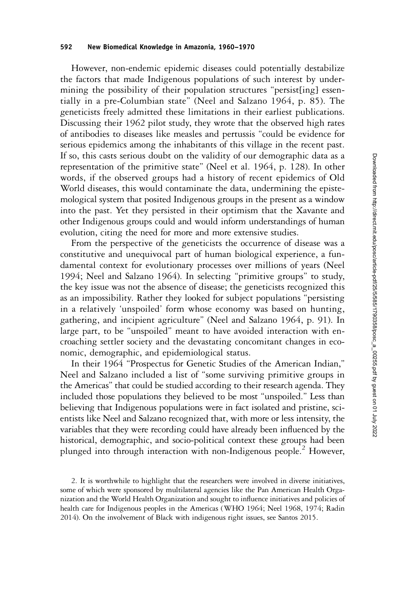However, non-endemic epidemic diseases could potentially destabilize the factors that made Indigenous populations of such interest by undermining the possibility of their population structures "persist[ing] essentially in a pre-Columbian state" (Neel and Salzano 1964, p. 85). The geneticists freely admitted these limitations in their earliest publications. Discussing their 1962 pilot study, they wrote that the observed high rates of antibodies to diseases like measles and pertussis "could be evidence for serious epidemics among the inhabitants of this village in the recent past. If so, this casts serious doubt on the validity of our demographic data as a representation of the primitive state" (Neel et al. 1964, p. 128). In other words, if the observed groups had a history of recent epidemics of Old World diseases, this would contaminate the data, undermining the epistemological system that posited Indigenous groups in the present as a window into the past. Yet they persisted in their optimism that the Xavante and other Indigenous groups could and would inform understandings of human evolution, citing the need for more and more extensive studies.

From the perspective of the geneticists the occurrence of disease was a constitutive and unequivocal part of human biological experience, a fundamental context for evolutionary processes over millions of years (Neel 1994; Neel and Salzano 1964). In selecting "primitive groups" to study, the key issue was not the absence of disease; the geneticists recognized this as an impossibility. Rather they looked for subject populations "persisting in a relatively 'unspoiled' form whose economy was based on hunting, gathering, and incipient agriculture" (Neel and Salzano 1964, p. 91). In large part, to be "unspoiled" meant to have avoided interaction with encroaching settler society and the devastating concomitant changes in economic, demographic, and epidemiological status.

In their 1964 "Prospectus for Genetic Studies of the American Indian," Neel and Salzano included a list of "some surviving primitive groups in the Americas" that could be studied according to their research agenda. They included those populations they believed to be most "unspoiled." Less than believing that Indigenous populations were in fact isolated and pristine, scientists like Neel and Salzano recognized that, with more or less intensity, the variables that they were recording could have already been influenced by the historical, demographic, and socio-political context these groups had been plunged into through interaction with non-Indigenous people.<sup>2</sup> However,

2. It is worthwhile to highlight that the researchers were involved in diverse initiatives, some of which were sponsored by multilateral agencies like the Pan American Health Organization and the World Health Organization and sought to influence initiatives and policies of health care for Indigenous peoples in the Americas (WHO 1964; Neel 1968, 1974; Radin 2014). On the involvement of Black with indigenous right issues, see Santos 2015.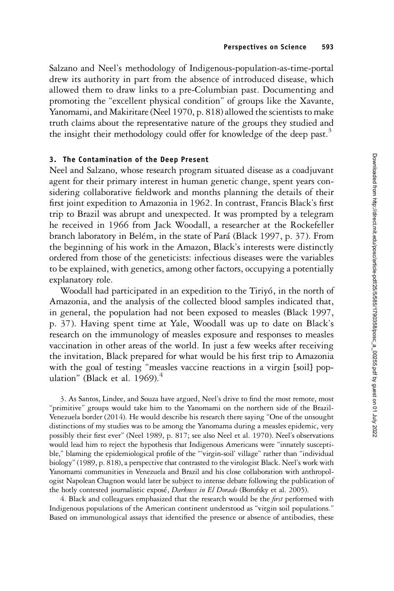Salzano and Neel's methodology of Indigenous-population-as-time-portal drew its authority in part from the absence of introduced disease, which allowed them to draw links to a pre-Columbian past. Documenting and promoting the "excellent physical condition" of groups like the Xavante, Yanomami, and Makiritare (Neel 1970, p. 818) allowed the scientists to make truth claims about the representative nature of the groups they studied and the insight their methodology could offer for knowledge of the deep past.<sup>3</sup>

### 3. The Contamination of the Deep Present

Neel and Salzano, whose research program situated disease as a coadjuvant agent for their primary interest in human genetic change, spent years considering collaborative fieldwork and months planning the details of their first joint expedition to Amazonia in 1962. In contrast, Francis Black's first trip to Brazil was abrupt and unexpected. It was prompted by a telegram he received in 1966 from Jack Woodall, a researcher at the Rockefeller branch laboratory in Belém, in the state of Pará (Black 1997, p. 37). From the beginning of his work in the Amazon, Black's interests were distinctly ordered from those of the geneticists: infectious diseases were the variables to be explained, with genetics, among other factors, occupying a potentially explanatory role.

Woodall had participated in an expedition to the Tiriyó, in the north of Amazonia, and the analysis of the collected blood samples indicated that, in general, the population had not been exposed to measles (Black 1997, p. 37). Having spent time at Yale, Woodall was up to date on Black's research on the immunology of measles exposure and responses to measles vaccination in other areas of the world. In just a few weeks after receiving the invitation, Black prepared for what would be his first trip to Amazonia with the goal of testing "measles vaccine reactions in a virgin [soil] population" (Black et al. 1969). $<sup>4</sup>$ </sup>

3. As Santos, Lindee, and Souza have argued, Neel's drive to find the most remote, most "primitive" groups would take him to the Yanomami on the northern side of the Brazil-Venezuela border (2014). He would describe his research there saying "One of the unsought distinctions of my studies was to be among the Yanomama during a measles epidemic, very possibly their first ever" (Neel 1989, p. 817; see also Neel et al. 1970). Neel's observations would lead him to reject the hypothesis that Indigenous Americans were "innately susceptible," blaming the epidemiological profile of the "'virgin-soil' village" rather than "individual biology" (1989, p. 818), a perspective that contrasted to the virologist Black. Neel's work with Yanomami communities in Venezuela and Brazil and his close collaboration with anthropologist Napolean Chagnon would later be subject to intense debate following the publication of the hotly contested journalistic exposé, Darkness in El Dorado (Borofsky et al. 2005).

4. Black and colleagues emphasized that the research would be the first performed with Indigenous populations of the American continent understood as "virgin soil populations." Based on immunological assays that identified the presence or absence of antibodies, these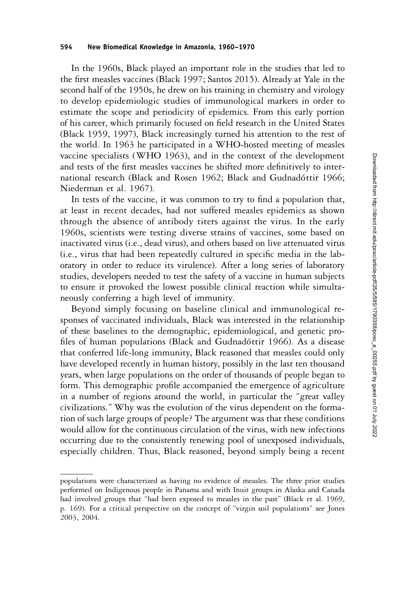In the 1960s, Black played an important role in the studies that led to the first measles vaccines (Black 1997; Santos 2015). Already at Yale in the second half of the 1950s, he drew on his training in chemistry and virology to develop epidemiologic studies of immunological markers in order to estimate the scope and periodicity of epidemics. From this early portion of his career, which primarily focused on field research in the United States (Black 1959, 1997), Black increasingly turned his attention to the rest of the world. In 1963 he participated in a WHO-hosted meeting of measles vaccine specialists (WHO 1963), and in the context of the development and tests of the first measles vaccines he shifted more definitively to international research (Black and Rosen 1962; Black and Gudnadóttir 1966; Niederman et al. 1967).

In tests of the vaccine, it was common to try to find a population that, at least in recent decades, had not suffered measles epidemics as shown through the absence of antibody titers against the virus. In the early 1960s, scientists were testing diverse strains of vaccines, some based on inactivated virus (i.e., dead virus), and others based on live attenuated virus (i.e., virus that had been repeatedly cultured in specific media in the laboratory in order to reduce its virulence). After a long series of laboratory studies, developers needed to test the safety of a vaccine in human subjects to ensure it provoked the lowest possible clinical reaction while simultaneously conferring a high level of immunity.

Beyond simply focusing on baseline clinical and immunological responses of vaccinated individuals, Black was interested in the relationship of these baselines to the demographic, epidemiological, and genetic profiles of human populations (Black and Gudnadóttir 1966). As a disease that conferred life-long immunity, Black reasoned that measles could only have developed recently in human history, possibly in the last ten thousand years, when large populations on the order of thousands of people began to form. This demographic profile accompanied the emergence of agriculture in a number of regions around the world, in particular the "great valley civilizations." Why was the evolution of the virus dependent on the formation of such large groups of people? The argument was that these conditions would allow for the continuous circulation of the virus, with new infections occurring due to the consistently renewing pool of unexposed individuals, especially children. Thus, Black reasoned, beyond simply being a recent

populations were characterized as having no evidence of measles. The three prior studies performed on Indigenous people in Panama and with Inuit groups in Alaska and Canada had involved groups that "had been exposed to measles in the past" (Black et al. 1969, p. 169). For a critical perspective on the concept of "virgin soil populations" see Jones 2003, 2004.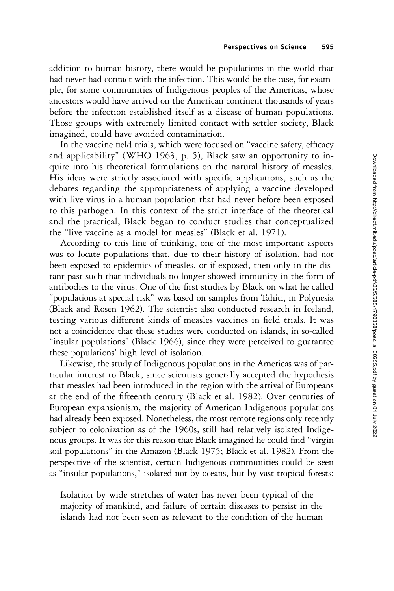addition to human history, there would be populations in the world that had never had contact with the infection. This would be the case, for example, for some communities of Indigenous peoples of the Americas, whose ancestors would have arrived on the American continent thousands of years before the infection established itself as a disease of human populations. Those groups with extremely limited contact with settler society, Black imagined, could have avoided contamination.

In the vaccine field trials, which were focused on "vaccine safety, efficacy and applicability" (WHO 1963, p. 5), Black saw an opportunity to inquire into his theoretical formulations on the natural history of measles. His ideas were strictly associated with specific applications, such as the debates regarding the appropriateness of applying a vaccine developed with live virus in a human population that had never before been exposed to this pathogen. In this context of the strict interface of the theoretical and the practical, Black began to conduct studies that conceptualized the "live vaccine as a model for measles" (Black et al. 1971).

According to this line of thinking, one of the most important aspects was to locate populations that, due to their history of isolation, had not been exposed to epidemics of measles, or if exposed, then only in the distant past such that individuals no longer showed immunity in the form of antibodies to the virus. One of the first studies by Black on what he called "populations at special risk" was based on samples from Tahiti, in Polynesia (Black and Rosen 1962). The scientist also conducted research in Iceland, testing various different kinds of measles vaccines in field trials. It was not a coincidence that these studies were conducted on islands, in so-called "insular populations" (Black 1966), since they were perceived to guarantee these populations' high level of isolation.

Likewise, the study of Indigenous populations in the Americas was of particular interest to Black, since scientists generally accepted the hypothesis that measles had been introduced in the region with the arrival of Europeans at the end of the fifteenth century (Black et al. 1982). Over centuries of European expansionism, the majority of American Indigenous populations had already been exposed. Nonetheless, the most remote regions only recently subject to colonization as of the 1960s, still had relatively isolated Indigenous groups. It was for this reason that Black imagined he could find "virgin soil populations" in the Amazon (Black 1975; Black et al. 1982). From the perspective of the scientist, certain Indigenous communities could be seen as "insular populations," isolated not by oceans, but by vast tropical forests:

Isolation by wide stretches of water has never been typical of the majority of mankind, and failure of certain diseases to persist in the islands had not been seen as relevant to the condition of the human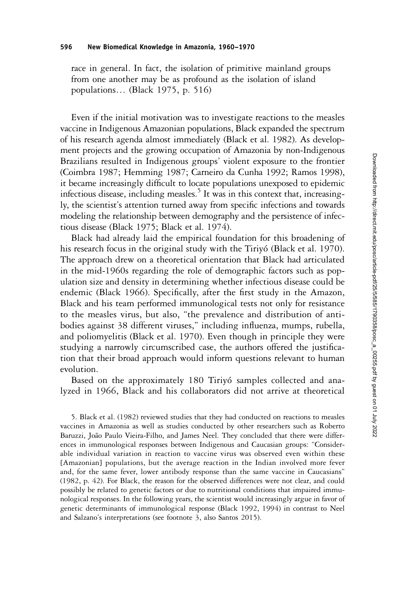race in general. In fact, the isolation of primitive mainland groups from one another may be as profound as the isolation of island populations… (Black 1975, p. 516)

Even if the initial motivation was to investigate reactions to the measles vaccine in Indigenous Amazonian populations, Black expanded the spectrum of his research agenda almost immediately (Black et al. 1982). As development projects and the growing occupation of Amazonia by non-Indigenous Brazilians resulted in Indigenous groups' violent exposure to the frontier (Coimbra 1987; Hemming 1987; Carneiro da Cunha 1992; Ramos 1998), it became increasingly difficult to locate populations unexposed to epidemic infectious disease, including measles.<sup>5</sup> It was in this context that, increasingly, the scientist's attention turned away from specific infections and towards modeling the relationship between demography and the persistence of infectious disease (Black 1975; Black et al. 1974).

Black had already laid the empirical foundation for this broadening of his research focus in the original study with the Tiriyó (Black et al. 1970). The approach drew on a theoretical orientation that Black had articulated in the mid-1960s regarding the role of demographic factors such as population size and density in determining whether infectious disease could be endemic (Black 1966). Specifically, after the first study in the Amazon, Black and his team performed immunological tests not only for resistance to the measles virus, but also, "the prevalence and distribution of antibodies against 38 different viruses," including influenza, mumps, rubella, and poliomyelitis (Black et al. 1970). Even though in principle they were studying a narrowly circumscribed case, the authors offered the justification that their broad approach would inform questions relevant to human evolution.

Based on the approximately 180 Tiriyó samples collected and analyzed in 1966, Black and his collaborators did not arrive at theoretical

5. Black et al. (1982) reviewed studies that they had conducted on reactions to measles vaccines in Amazonia as well as studies conducted by other researchers such as Roberto Baruzzi, João Paulo Vieira-Filho, and James Neel. They concluded that there were differences in immunological responses between Indigenous and Caucasian groups: "Considerable individual variation in reaction to vaccine virus was observed even within these [Amazonian] populations, but the average reaction in the Indian involved more fever and, for the same fever, lower antibody response than the same vaccine in Caucasians" (1982, p. 42). For Black, the reason for the observed differences were not clear, and could possibly be related to genetic factors or due to nutritional conditions that impaired immunological responses. In the following years, the scientist would increasingly argue in favor of genetic determinants of immunological response (Black 1992, 1994) in contrast to Neel and Salzano's interpretations (see footnote 3, also Santos 2015).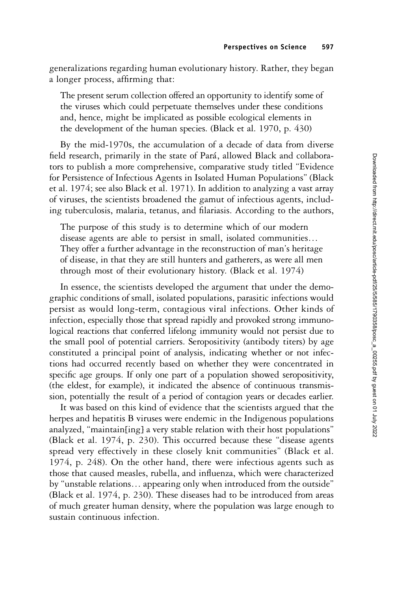generalizations regarding human evolutionary history. Rather, they began a longer process, affirming that:

The present serum collection offered an opportunity to identify some of the viruses which could perpetuate themselves under these conditions and, hence, might be implicated as possible ecological elements in the development of the human species. (Black et al. 1970, p. 430)

By the mid-1970s, the accumulation of a decade of data from diverse field research, primarily in the state of Pará, allowed Black and collaborators to publish a more comprehensive, comparative study titled "Evidence for Persistence of Infectious Agents in Isolated Human Populations" (Black et al. 1974; see also Black et al. 1971). In addition to analyzing a vast array of viruses, the scientists broadened the gamut of infectious agents, including tuberculosis, malaria, tetanus, and filariasis. According to the authors,

The purpose of this study is to determine which of our modern disease agents are able to persist in small, isolated communities… They offer a further advantage in the reconstruction of man's heritage of disease, in that they are still hunters and gatherers, as were all men through most of their evolutionary history. (Black et al. 1974)

In essence, the scientists developed the argument that under the demographic conditions of small, isolated populations, parasitic infections would persist as would long-term, contagious viral infections. Other kinds of infection, especially those that spread rapidly and provoked strong immunological reactions that conferred lifelong immunity would not persist due to the small pool of potential carriers. Seropositivity (antibody titers) by age constituted a principal point of analysis, indicating whether or not infections had occurred recently based on whether they were concentrated in specific age groups. If only one part of a population showed seropositivity, (the eldest, for example), it indicated the absence of continuous transmission, potentially the result of a period of contagion years or decades earlier.

It was based on this kind of evidence that the scientists argued that the herpes and hepatitis B viruses were endemic in the Indigenous populations analyzed, "maintain[ing] a very stable relation with their host populations" (Black et al. 1974, p. 230). This occurred because these "disease agents spread very effectively in these closely knit communities" (Black et al. 1974, p. 248). On the other hand, there were infectious agents such as those that caused measles, rubella, and influenza, which were characterized by "unstable relations… appearing only when introduced from the outside" (Black et al. 1974, p. 230). These diseases had to be introduced from areas of much greater human density, where the population was large enough to sustain continuous infection.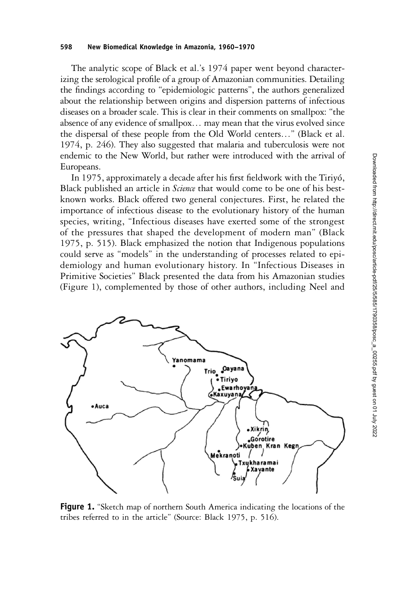The analytic scope of Black et al.'s 1974 paper went beyond characterizing the serological profile of a group of Amazonian communities. Detailing the findings according to "epidemiologic patterns", the authors generalized about the relationship between origins and dispersion patterns of infectious diseases on a broader scale. This is clear in their comments on smallpox: "the absence of any evidence of smallpox… may mean that the virus evolved since the dispersal of these people from the Old World centers…" (Black et al. 1974, p. 246). They also suggested that malaria and tuberculosis were not endemic to the New World, but rather were introduced with the arrival of Europeans.

In 1975, approximately a decade after his first fieldwork with the Tiriyó, Black published an article in *Science* that would come to be one of his bestknown works. Black offered two general conjectures. First, he related the importance of infectious disease to the evolutionary history of the human species, writing, "Infectious diseases have exerted some of the strongest of the pressures that shaped the development of modern man" (Black 1975, p. 515). Black emphasized the notion that Indigenous populations could serve as "models" in the understanding of processes related to epidemiology and human evolutionary history. In "Infectious Diseases in Primitive Societies" Black presented the data from his Amazonian studies (Figure 1), complemented by those of other authors, including Neel and



Figure 1. "Sketch map of northern South America indicating the locations of the tribes referred to in the article" (Source: Black 1975, p. 516).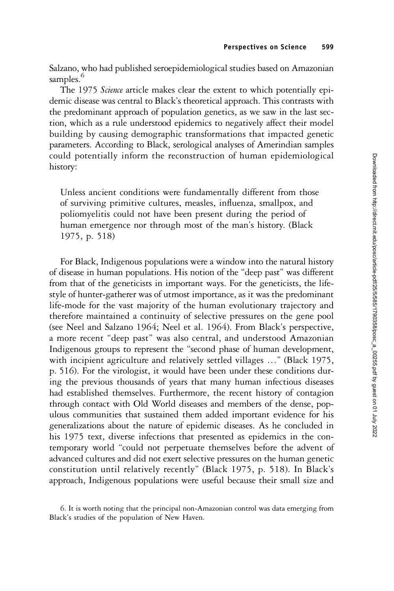Salzano, who had published seroepidemiological studies based on Amazonian samples.<sup>6</sup>

The 1975 Science article makes clear the extent to which potentially epidemic disease was central to Black's theoretical approach. This contrasts with the predominant approach of population genetics, as we saw in the last section, which as a rule understood epidemics to negatively affect their model building by causing demographic transformations that impacted genetic parameters. According to Black, serological analyses of Amerindian samples could potentially inform the reconstruction of human epidemiological history:

Unless ancient conditions were fundamentally different from those of surviving primitive cultures, measles, influenza, smallpox, and poliomyelitis could not have been present during the period of human emergence nor through most of the man's history. (Black 1975, p. 518)

For Black, Indigenous populations were a window into the natural history of disease in human populations. His notion of the "deep past" was different from that of the geneticists in important ways. For the geneticists, the lifestyle of hunter-gatherer was of utmost importance, as it was the predominant life-mode for the vast majority of the human evolutionary trajectory and therefore maintained a continuity of selective pressures on the gene pool (see Neel and Salzano 1964; Neel et al. 1964). From Black's perspective, a more recent "deep past" was also central, and understood Amazonian Indigenous groups to represent the "second phase of human development, with incipient agriculture and relatively settled villages …" (Black 1975, p. 516). For the virologist, it would have been under these conditions during the previous thousands of years that many human infectious diseases had established themselves. Furthermore, the recent history of contagion through contact with Old World diseases and members of the dense, populous communities that sustained them added important evidence for his generalizations about the nature of epidemic diseases. As he concluded in his 1975 text, diverse infections that presented as epidemics in the contemporary world "could not perpetuate themselves before the advent of advanced cultures and did not exert selective pressures on the human genetic constitution until relatively recently" (Black 1975, p. 518). In Black's approach, Indigenous populations were useful because their small size and

<sup>6.</sup> It is worth noting that the principal non-Amazonian control was data emerging from Black's studies of the population of New Haven.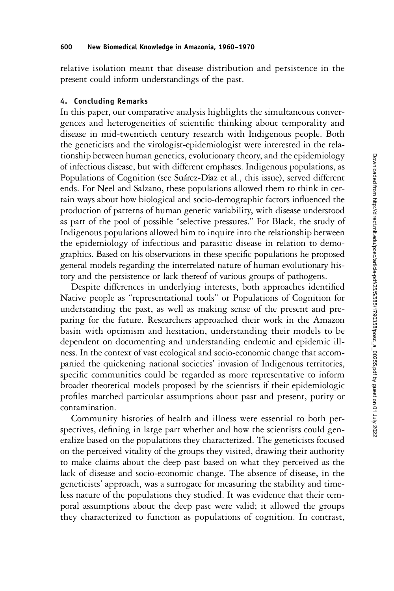relative isolation meant that disease distribution and persistence in the present could inform understandings of the past.

### 4. Concluding Remarks

In this paper, our comparative analysis highlights the simultaneous convergences and heterogeneities of scientific thinking about temporality and disease in mid-twentieth century research with Indigenous people. Both the geneticists and the virologist-epidemiologist were interested in the relationship between human genetics, evolutionary theory, and the epidemiology of infectious disease, but with different emphases. Indigenous populations, as Populations of Cognition (see Suárez-Díaz et al., this issue), served different ends. For Neel and Salzano, these populations allowed them to think in certain ways about how biological and socio-demographic factors influenced the production of patterns of human genetic variability, with disease understood as part of the pool of possible "selective pressures." For Black, the study of Indigenous populations allowed him to inquire into the relationship between the epidemiology of infectious and parasitic disease in relation to demographics. Based on his observations in these specific populations he proposed general models regarding the interrelated nature of human evolutionary history and the persistence or lack thereof of various groups of pathogens.

Despite differences in underlying interests, both approaches identified Native people as "representational tools" or Populations of Cognition for understanding the past, as well as making sense of the present and preparing for the future. Researchers approached their work in the Amazon basin with optimism and hesitation, understanding their models to be dependent on documenting and understanding endemic and epidemic illness. In the context of vast ecological and socio-economic change that accompanied the quickening national societies' invasion of Indigenous territories, specific communities could be regarded as more representative to inform broader theoretical models proposed by the scientists if their epidemiologic profiles matched particular assumptions about past and present, purity or contamination.

Community histories of health and illness were essential to both perspectives, defining in large part whether and how the scientists could generalize based on the populations they characterized. The geneticists focused on the perceived vitality of the groups they visited, drawing their authority to make claims about the deep past based on what they perceived as the lack of disease and socio-economic change. The absence of disease, in the geneticists' approach, was a surrogate for measuring the stability and timeless nature of the populations they studied. It was evidence that their temporal assumptions about the deep past were valid; it allowed the groups they characterized to function as populations of cognition. In contrast,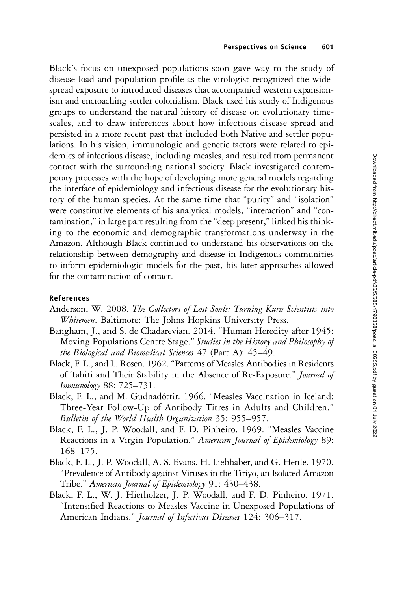Black's focus on unexposed populations soon gave way to the study of disease load and population profile as the virologist recognized the widespread exposure to introduced diseases that accompanied western expansionism and encroaching settler colonialism. Black used his study of Indigenous groups to understand the natural history of disease on evolutionary timescales, and to draw inferences about how infectious disease spread and persisted in a more recent past that included both Native and settler populations. In his vision, immunologic and genetic factors were related to epidemics of infectious disease, including measles, and resulted from permanent contact with the surrounding national society. Black investigated contemporary processes with the hope of developing more general models regarding the interface of epidemiology and infectious disease for the evolutionary history of the human species. At the same time that "purity" and "isolation" were constitutive elements of his analytical models, "interaction" and "contamination,"in large part resulting from the"deep present,"linked his thinking to the economic and demographic transformations underway in the Amazon. Although Black continued to understand his observations on the relationship between demography and disease in Indigenous communities to inform epidemiologic models for the past, his later approaches allowed for the contamination of contact.

# References

- Anderson, W. 2008. The Collectors of Lost Souls: Turning Kuru Scientists into Whitemen. Baltimore: The Johns Hopkins University Press.
- Bangham, J., and S. de Chadarevian. 2014. "Human Heredity after 1945: Moving Populations Centre Stage." Studies in the History and Philosophy of the Biological and Biomedical Sciences 47 (Part A): 45–49.
- Black, F. L., and L. Rosen. 1962. "Patterns of Measles Antibodies in Residents of Tahiti and Their Stability in the Absence of Re-Exposure." Journal of Immunology 88: 725–731.
- Black, F. L., and M. Gudnadóttir. 1966. "Measles Vaccination in Iceland: Three-Year Follow-Up of Antibody Titres in Adults and Children." Bulletin of the World Health Organization 35: 955–957.
- Black, F. L., J. P. Woodall, and F. D. Pinheiro. 1969. "Measles Vaccine Reactions in a Virgin Population." American Journal of Epidemiology 89: 168–175.
- Black, F. L., J. P. Woodall, A. S. Evans, H. Liebhaber, and G. Henle. 1970. "Prevalence of Antibody against Viruses in the Tiriyo, an Isolated Amazon Tribe." American Journal of Epidemiology 91: 430–438.
- Black, F. L., W. J. Hierholzer, J. P. Woodall, and F. D. Pinheiro. 1971. "Intensified Reactions to Measles Vaccine in Unexposed Populations of American Indians." Journal of Infectious Diseases 124: 306-317.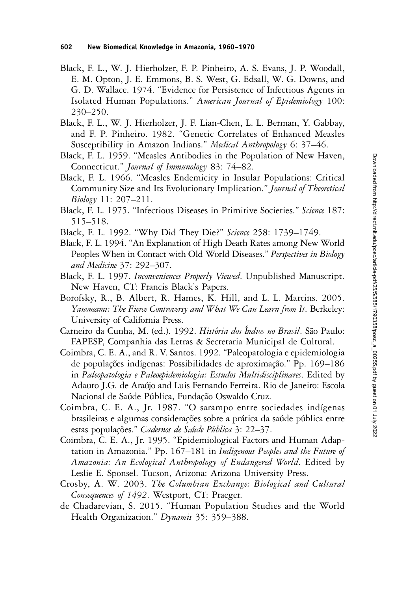- Black, F. L., W. J. Hierholzer, F. P. Pinheiro, A. S. Evans, J. P. Woodall, E. M. Opton, J. E. Emmons, B. S. West, G. Edsall, W. G. Downs, and G. D. Wallace. 1974. "Evidence for Persistence of Infectious Agents in Isolated Human Populations." American Journal of Epidemiology 100: 230–250.
- Black, F. L., W. J. Hierholzer, J. F. Lian-Chen, L. L. Berman, Y. Gabbay, and F. P. Pinheiro. 1982. "Genetic Correlates of Enhanced Measles Susceptibility in Amazon Indians." Medical Anthropology 6: 37-46.
- Black, F. L. 1959. "Measles Antibodies in the Population of New Haven, Connecticut." Journal of Immunology 83: 74–82.
- Black, F. L. 1966. "Measles Endemicity in Insular Populations: Critical Community Size and Its Evolutionary Implication." Journal of Theoretical Biology 11: 207–211.
- Black, F. L. 1975. "Infectious Diseases in Primitive Societies." Science 187: 515–518.
- Black, F. L. 1992. "Why Did They Die?" Science 258: 1739–1749.
- Black, F. L. 1994. "An Explanation of High Death Rates among New World Peoples When in Contact with Old World Diseases." Perspectives in Biology and Medicine 37: 292–307.
- Black, F. L. 1997. Inconveniences Properly Viewed. Unpublished Manuscript. New Haven, CT: Francis Black's Papers.
- Borofsky, R., B. Albert, R. Hames, K. Hill, and L. L. Martins. 2005. Yanomami: The Fierce Controversy and What We Can Learn from It. Berkeley: University of California Press.
- Carneiro da Cunha, M. (ed.). 1992. História dos Índios no Brasil. São Paulo: FAPESP, Companhia das Letras & Secretaria Municipal de Cultural.
- Coimbra, C. E. A., and R. V. Santos. 1992. "Paleopatologia e epidemiologia de populações indígenas: Possibilidades de aproximação." Pp. 169–186 in Paleopatologia e Paleoepidemiologia: Estudos Multidisciplinares. Edited by Adauto J.G. de Araújo and Luis Fernando Ferreira. Rio de Janeiro: Escola Nacional de Saúde Pública, Fundação Oswaldo Cruz.
- Coimbra, C. E. A., Jr. 1987. "O sarampo entre sociedades indígenas brasileiras e algumas considerações sobre a prática da saúde pública entre estas populações." Cadernos de Saúde Pública 3: 22-37.
- Coimbra, C. E. A., Jr. 1995. "Epidemiological Factors and Human Adaptation in Amazonia." Pp. 167–181 in Indigenous Peoples and the Future of Amazonia: An Ecological Anthropology of Endangered World. Edited by Leslie E. Sponsel. Tucson, Arizona: Arizona University Press.
- Crosby, A. W. 2003. The Columbian Exchange: Biological and Cultural Consequences of 1492. Westport, CT: Praeger.
- de Chadarevian, S. 2015. "Human Population Studies and the World Health Organization." Dynamis 35: 359-388.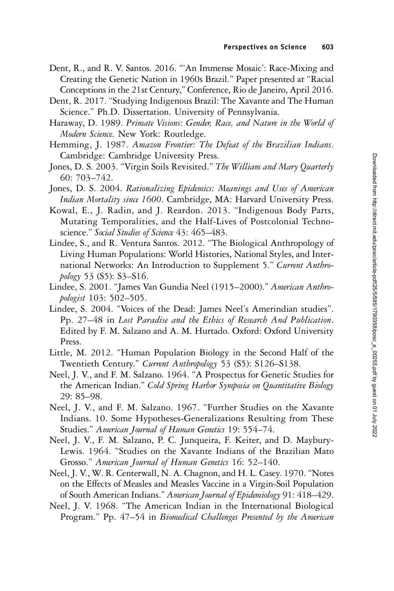- Dent, R., and R. V. Santos. 2016. "'An Immense Mosaic': Race-Mixing and Creating the Genetic Nation in 1960s Brazil." Paper presented at "Racial Conceptions in the 21st Century," Conference, Rio de Janeiro, April 2016.
- Dent, R. 2017. "Studying Indigenous Brazil: The Xavante and The Human Science." Ph.D. Dissertation. University of Pennsylvania.
- Haraway, D. 1989. Primate Visions: Gender, Race, and Nature in the World of Modern Science. New York: Routledge.
- Hemming, J. 1987. Amazon Frontier: The Defeat of the Brazilian Indians. Cambridge: Cambridge University Press.
- Jones, D. S. 2003. "Virgin Soils Revisited." The William and Mary Quarterly 60: 703–742.
- Jones, D. S. 2004. Rationalizing Epidemics: Meanings and Uses of American Indian Mortality since 1600. Cambridge, MA: Harvard University Press.
- Kowal, E., J. Radin, and J. Reardon. 2013. "Indigenous Body Parts, Mutating Temporalities, and the Half-Lives of Postcolonial Technoscience." Social Studies of Science 43: 465-483.
- Lindee, S., and R. Ventura Santos. 2012. "The Biological Anthropology of Living Human Populations: World Histories, National Styles, and International Networks: An Introduction to Supplement 5." Current Anthropology 53 (S5): S3–S16.
- Lindee, S. 2001. "James Van Gundia Neel (1915–2000)." American Anthropologist 103: 502–505.
- Lindee, S. 2004. "Voices of the Dead: James Neel's Amerindian studies". Pp. 27–48 in Lost Paradise and the Ethics of Research And Publication. Edited by F. M. Salzano and A. M. Hurtado. Oxford: Oxford University Press.
- Little, M. 2012. "Human Population Biology in the Second Half of the Twentieth Century." Current Anthropology 53 (S5): S126–S138.
- Neel, J. V., and F. M. Salzano. 1964. "A Prospectus for Genetic Studies for the American Indian." Cold Spring Harbor Symposia on Quantitative Biology 29: 85–98.
- Neel, J. V., and F. M. Salzano. 1967. "Further Studies on the Xavante Indians. 10. Some Hypotheses-Generalizations Resulting from These Studies." American Journal of Human Genetics 19: 554-74.
- Neel, J. V., F. M. Salzano, P. C. Junqueira, F. Keiter, and D. Maybury-Lewis. 1964. "Studies on the Xavante Indians of the Brazilian Mato Grosso." American Journal of Human Genetics 16: 52–140.
- Neel, J. V., W. R. Centerwall, N. A. Chagnon, and H. L. Casey. 1970."Notes on the Effects of Measles and Measles Vaccine in a Virgin-Soil Population of South American Indians." American Journal of Epidemiology 91: 418–429.
- Neel, J. V. 1968. "The American Indian in the International Biological Program." Pp. 47-54 in Biomedical Challenges Presented by the American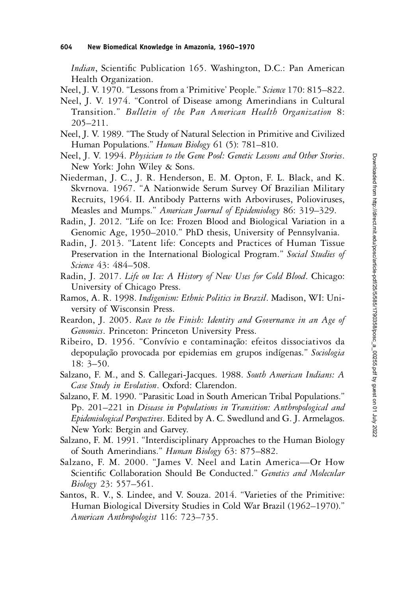Indian, Scientific Publication 165. Washington, D.C.: Pan American Health Organization.

Neel, J. V. 1970. "Lessons from a 'Primitive' People." Science 170: 815-822.

- Neel, J. V. 1974. "Control of Disease among Amerindians in Cultural Transition." Bulletin of the Pan American Health Organization 8: 205–211.
- Neel, J. V. 1989. "The Study of Natural Selection in Primitive and Civilized Human Populations." Human Biology 61 (5): 781-810.
- Neel, J. V. 1994. Physician to the Gene Pool: Genetic Lessons and Other Stories. New York: John Wiley & Sons.
- Niederman, J. C., J. R. Henderson, E. M. Opton, F. L. Black, and K. Skvrnova. 1967. "A Nationwide Serum Survey Of Brazilian Military Recruits, 1964. II. Antibody Patterns with Arboviruses, Polioviruses, Measles and Mumps." American Journal of Epidemiology 86: 319–329.
- Radin, J. 2012. "Life on Ice: Frozen Blood and Biological Variation in a Genomic Age, 1950–2010." PhD thesis, University of Pennsylvania.
- Radin, J. 2013. "Latent life: Concepts and Practices of Human Tissue Preservation in the International Biological Program." Social Studies of Science 43: 484–508.
- Radin, J. 2017. Life on Ice: A History of New Uses for Cold Blood. Chicago: University of Chicago Press.
- Ramos, A. R. 1998. Indigenism: Ethnic Politics in Brazil. Madison, WI: University of Wisconsin Press.
- Reardon, J. 2005. Race to the Finish: Identity and Governance in an Age of Genomics. Princeton: Princeton University Press.
- Ribeiro, D. 1956. "Convívio e contaminação: efeitos dissociativos da depopulação provocada por epidemias em grupos indígenas." Sociologia 18: 3–50.
- Salzano, F. M., and S. Callegari-Jacques. 1988. South American Indians: A Case Study in Evolution. Oxford: Clarendon.
- Salzano, F. M. 1990. "Parasitic Load in South American Tribal Populations." Pp. 201–221 in Disease in Populations in Transition: Anthropological and Epidemiological Perspectives. Edited by A. C. Swedlund and G. J. Armelagos. New York: Bergin and Garvey.
- Salzano, F. M. 1991. "Interdisciplinary Approaches to the Human Biology of South Amerindians." Human Biology 63: 875–882.
- Salzano, F. M. 2000. "James V. Neel and Latin America—Or How Scientific Collaboration Should Be Conducted." Genetics and Molecular Biology 23: 557–561.
- Santos, R. V., S. Lindee, and V. Souza. 2014. "Varieties of the Primitive: Human Biological Diversity Studies in Cold War Brazil (1962–1970)." American Anthropologist 116: 723–735.